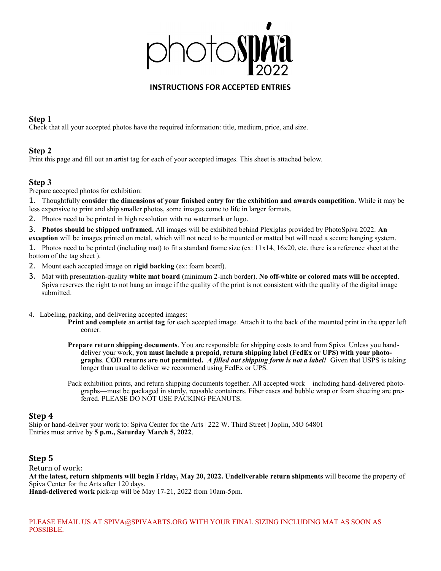

#### **INSTRUCTIONS FOR ACCEPTED ENTRIES**

#### **Step 1**

Check that all your accepted photos have the required information: title, medium, price, and size.

## **Step 2**

Print this page and fill out an artist tag for each of your accepted images. This sheet is attached below.

## **Step 3**

Prepare accepted photos for exhibition:

1. Thoughtfully **consider the dimensions of your finished entry for the exhibition and awards competition**. While it may be less expensive to print and ship smaller photos, some images come to life in larger formats.

2. Photos need to be printed in high resolution with no watermark or logo.

3. **Photos should be shipped unframed.** All images will be exhibited behind Plexiglas provided by PhotoSpiva 2022. **An exception** will be images printed on metal, which will not need to be mounted or matted but will need a secure hanging system.

1. Photos need to be printed (including mat) to fit a standard frame size (ex: 11x14, 16x20, etc. there is a reference sheet at the bottom of the tag sheet ).

2. Mount each accepted image on **rigid backing** (ex: foam board).

- 3. Mat with presentation-quality **white mat board** (minimum 2-inch border). **No off-white or colored mats will be accepted**. Spiva reserves the right to not hang an image if the quality of the print is not consistent with the quality of the digital image submitted.
- 4. Labeling, packing, and delivering accepted images:

**Print and complete** an **artist tag** for each accepted image. Attach it to the back of the mounted print in the upper left corner.

**Prepare return shipping documents**. You are responsible for shipping costs to and from Spiva. Unless you handdeliver your work, **you must include a prepaid, return shipping label (FedEx or UPS) with your photographs**. **COD returns are not permitted.** *A filled out shipping form is not a label!* Given that USPS is taking longer than usual to deliver we recommend using FedEx or UPS.

Pack exhibition prints, and return shipping documents together. All accepted work—including hand-delivered photographs—must be packaged in sturdy, reusable containers. Fiber cases and bubble wrap or foam sheeting are preferred. PLEASE DO NOT USE PACKING PEANUTS.

#### **Step 4**

Ship or hand-deliver your work to: Spiva Center for the Arts | 222 W. Third Street | Joplin, MO 64801 Entries must arrive by **5 p.m., Saturday March 5, 2022**.

## **Step 5**

Return of work: **At the latest, return shipments will begin Friday, May 20, 2022. Undeliverable return shipments** will become the property of Spiva Center for the Arts after 120 days.

**Hand-delivered work** pick-up will be May 17-21, 2022 from 10am-5pm.